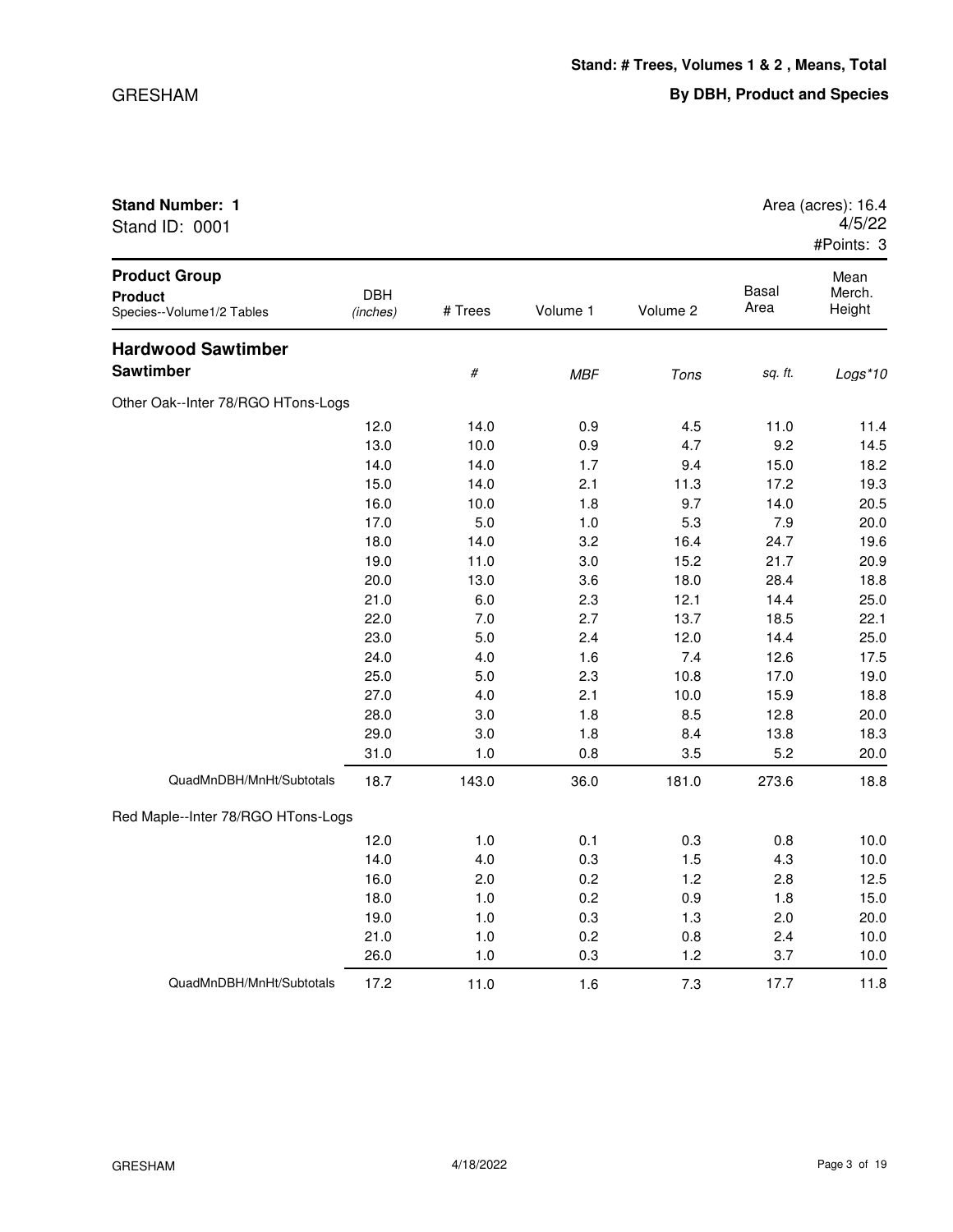| <b>Stand Number: 1</b> | Area (acres): 16.4 |
|------------------------|--------------------|
| Stand ID: 0001         | 4/5/22             |
|                        | $H$ Dointe: 2      |

|                                                                     |                        |         |            |          |                      | #Points: 3               |
|---------------------------------------------------------------------|------------------------|---------|------------|----------|----------------------|--------------------------|
| <b>Product Group</b><br><b>Product</b><br>Species--Volume1/2 Tables | <b>DBH</b><br>(inches) | # Trees | Volume 1   | Volume 2 | <b>Basal</b><br>Area | Mean<br>Merch.<br>Height |
| <b>Hardwood Sawtimber</b>                                           |                        |         |            |          |                      |                          |
| <b>Sawtimber</b>                                                    |                        | $\#$    | <b>MBF</b> | Tons     | sq. ft.              | Logs*10                  |
| Other Oak--Inter 78/RGO HTons-Logs                                  |                        |         |            |          |                      |                          |
|                                                                     | 12.0                   | 14.0    | 0.9        | 4.5      | 11.0                 | 11.4                     |
|                                                                     | 13.0                   | 10.0    | 0.9        | 4.7      | 9.2                  | 14.5                     |
|                                                                     | 14.0                   | 14.0    | 1.7        | 9.4      | 15.0                 | 18.2                     |
|                                                                     | 15.0                   | 14.0    | 2.1        | 11.3     | 17.2                 | 19.3                     |
|                                                                     | 16.0                   | 10.0    | 1.8        | 9.7      | 14.0                 | 20.5                     |
|                                                                     | 17.0                   | 5.0     | 1.0        | 5.3      | 7.9                  | 20.0                     |
|                                                                     | 18.0                   | 14.0    | 3.2        | 16.4     | 24.7                 | 19.6                     |
|                                                                     | 19.0                   | 11.0    | 3.0        | 15.2     | 21.7                 | 20.9                     |
|                                                                     | 20.0                   | 13.0    | 3.6        | 18.0     | 28.4                 | 18.8                     |
|                                                                     | 21.0                   | 6.0     | 2.3        | 12.1     | 14.4                 | 25.0                     |
|                                                                     | 22.0                   | 7.0     | 2.7        | 13.7     | 18.5                 | 22.1                     |
|                                                                     | 23.0                   | 5.0     | 2.4        | 12.0     | 14.4                 | 25.0                     |
|                                                                     | 24.0                   | 4.0     | 1.6        | 7.4      | 12.6                 | 17.5                     |
|                                                                     | 25.0                   | 5.0     | 2.3        | 10.8     | 17.0                 | 19.0                     |
|                                                                     | 27.0                   | 4.0     | 2.1        | 10.0     | 15.9                 | 18.8                     |
|                                                                     | 28.0                   | 3.0     | 1.8        | 8.5      | 12.8                 | 20.0                     |
|                                                                     | 29.0                   | 3.0     | 1.8        | 8.4      | 13.8                 | 18.3                     |
|                                                                     | 31.0                   | 1.0     | 0.8        | 3.5      | 5.2                  | 20.0                     |
| QuadMnDBH/MnHt/Subtotals                                            | 18.7                   | 143.0   | 36.0       | 181.0    | 273.6                | 18.8                     |
| Red Maple--Inter 78/RGO HTons-Logs                                  |                        |         |            |          |                      |                          |
|                                                                     | 12.0                   | 1.0     | 0.1        | 0.3      | 0.8                  | 10.0                     |
|                                                                     | 14.0                   | 4.0     | 0.3        | 1.5      | 4.3                  | 10.0                     |
|                                                                     | 16.0                   | 2.0     | 0.2        | 1.2      | 2.8                  | 12.5                     |
|                                                                     | 18.0                   | 1.0     | 0.2        | 0.9      | 1.8                  | 15.0                     |
|                                                                     | 19.0                   | 1.0     | 0.3        | 1.3      | 2.0                  | 20.0                     |
|                                                                     | 21.0                   | 1.0     | 0.2        | 0.8      | 2.4                  | 10.0                     |
|                                                                     | 26.0                   | 1.0     | 0.3        | 1.2      | 3.7                  | 10.0                     |
| QuadMnDBH/MnHt/Subtotals                                            | 17.2                   | 11.0    | 1.6        | 7.3      | 17.7                 | 11.8                     |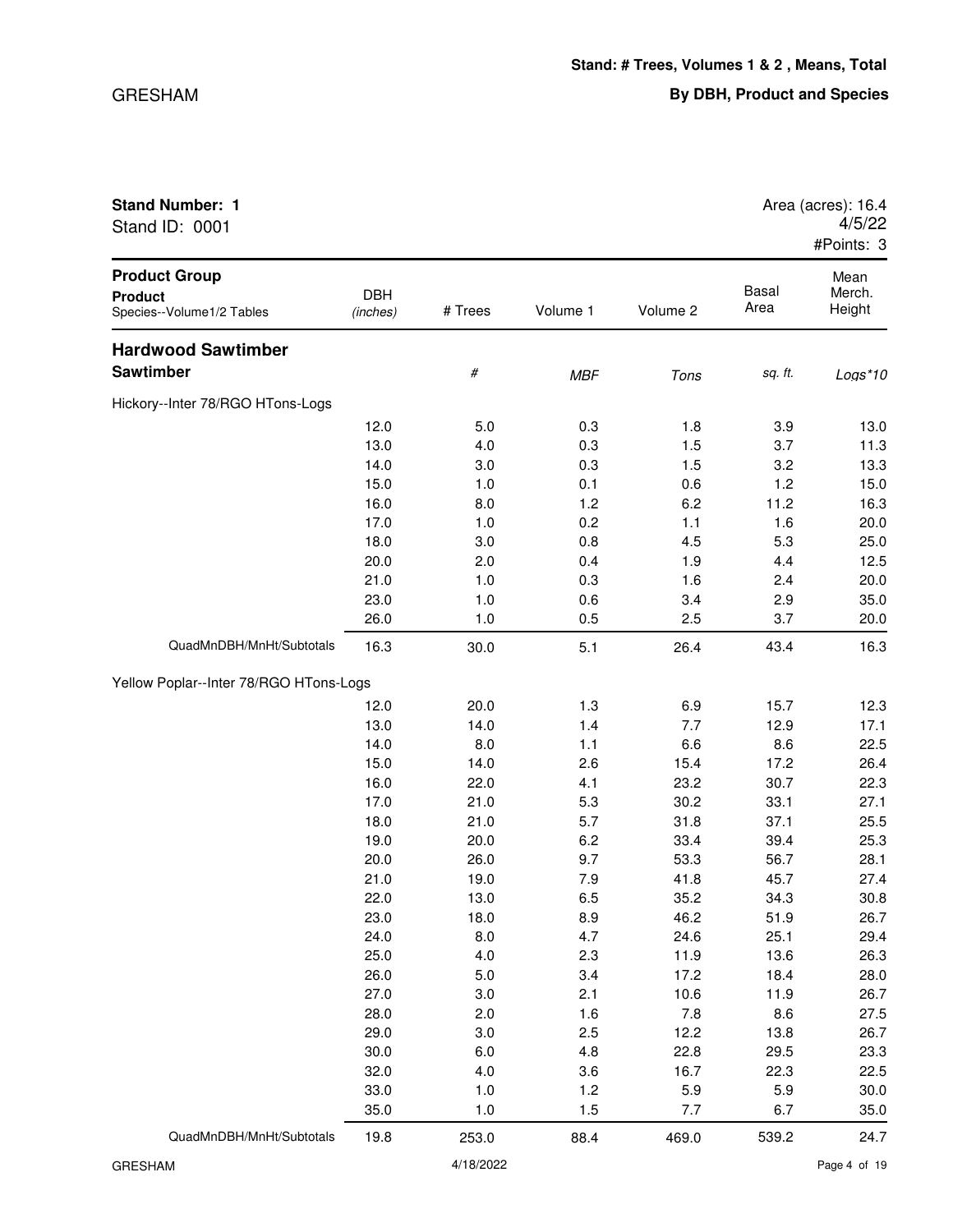| Stand ID: 0001                                                      |                        |         |            |          |                      | 4/5/22<br>#Points: 3     |
|---------------------------------------------------------------------|------------------------|---------|------------|----------|----------------------|--------------------------|
| <b>Product Group</b><br><b>Product</b><br>Species--Volume1/2 Tables | <b>DBH</b><br>(inches) | # Trees | Volume 1   | Volume 2 | <b>Basal</b><br>Area | Mean<br>Merch.<br>Height |
| <b>Hardwood Sawtimber</b>                                           |                        |         |            |          |                      |                          |
| <b>Sawtimber</b>                                                    |                        | #       | <b>MBF</b> | Tons     | sq. ft.              | $Logs*10$                |
| Hickory--Inter 78/RGO HTons-Logs                                    |                        |         |            |          |                      |                          |
|                                                                     | 12.0                   | 5.0     | 0.3        | 1.8      | 3.9                  | 13.0                     |
|                                                                     | 13.0                   | 4.0     | 0.3        | 1.5      | 3.7                  | 11.3                     |
|                                                                     | 14.0                   | 3.0     | 0.3        | 1.5      | 3.2                  | 13.3                     |
|                                                                     | 15.0                   | 1.0     | 0.1        | 0.6      | 1.2                  | 15.0                     |
|                                                                     | 16.0                   | 8.0     | 1.2        | 6.2      | 11.2                 | 16.3                     |
|                                                                     | 17.0                   | 1.0     | 0.2        | 1.1      | 1.6                  | 20.0                     |
|                                                                     | 18.0                   | 3.0     | 0.8        | 4.5      | 5.3                  | 25.0                     |
|                                                                     | 20.0                   | 2.0     | 0.4        | 1.9      | 4.4                  | 12.5                     |
|                                                                     | 21.0                   | 1.0     | 0.3        | 1.6      | 2.4                  | 20.0                     |
|                                                                     | 23.0                   | 1.0     | 0.6        | 3.4      | 2.9                  | 35.0                     |
|                                                                     | 26.0                   | 1.0     | 0.5        | 2.5      | 3.7                  | 20.0                     |
| QuadMnDBH/MnHt/Subtotals                                            | 16.3                   | 30.0    | 5.1        | 26.4     | 43.4                 | 16.3                     |
| Yellow Poplar--Inter 78/RGO HTons-Logs                              |                        |         |            |          |                      |                          |
|                                                                     | 12.0                   | 20.0    | 1.3        | 6.9      | 15.7                 | 12.3                     |
|                                                                     | 13.0                   | 14.0    | 1.4        | 7.7      | 12.9                 | 17.1                     |
|                                                                     | 14.0                   | 8.0     | 1.1        | 6.6      | 8.6                  | 22.5                     |
|                                                                     | 15.0                   | 14.0    | 2.6        | 15.4     | 17.2                 | 26.4                     |
|                                                                     | 16.0                   | 22.0    | 4.1        | 23.2     | 30.7                 | 22.3                     |

17.0 21.0 5.3 30.2 33.1 27.1 18.0 21.0 5.7 31.8 37.1 25.5 19.0 20.0 6.2 33.4 39.4 25.3 20.0 26.0 9.7 53.3 56.7 28.1 21.0 19.0 7.9 41.8 45.7 27.4 22.0 13.0 6.5 35.2 34.3 30.8 23.0 18.0 8.9 46.2 51.9 26.7 24.0 8.0 4.7 24.6 25.1 29.4 25.0 4.0 2.3 11.9 13.6 26.3 26.0 5.0 3.4 17.2 18.4 28.0 27.0 3.0 2.1 10.6 11.9 26.7 28.0 2.0 1.6 7.8 8.6 27.5 29.0 3.0 2.5 12.2 13.8 26.7 30.0 6.0 4.8 22.8 29.5 23.3 32.0 4.0 3.6 16.7 22.3 22.5 33.0 1.0 1.2 5.9 5.9 30.0 35.0 1.0 1.5 7.7 6.7 35.0

**Stand Number: 1 Area (acres): 16.4** 

QuadMnDBH/MnHt/Subtotals 19.8 253.0 88.4 469.0 539.2 24.7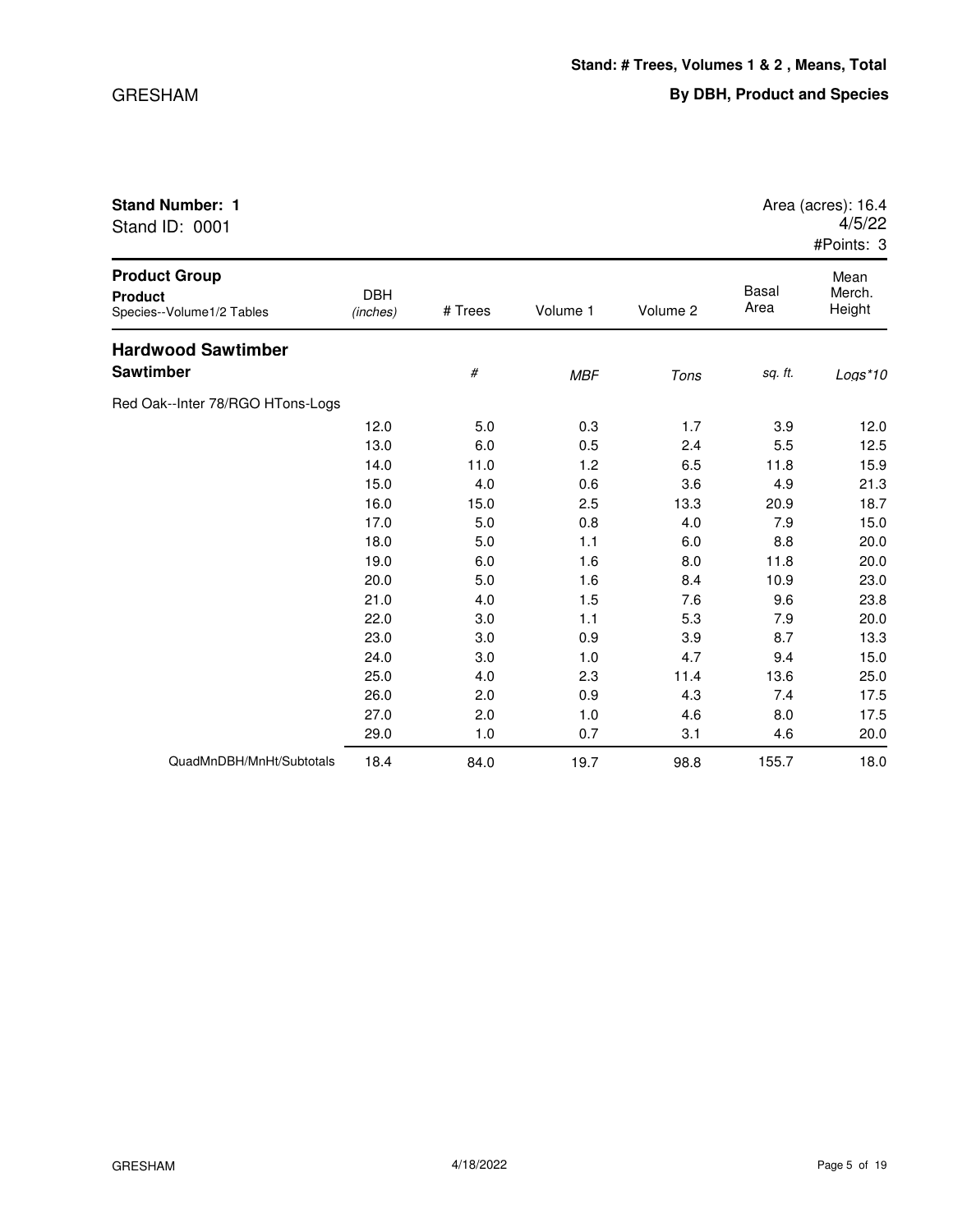| <b>Stand Number: 1</b><br>Stand ID: 0001                            |                        |         |          |          |               | Area (acres): 16.4<br>4/5/22<br>#Points: 3 |
|---------------------------------------------------------------------|------------------------|---------|----------|----------|---------------|--------------------------------------------|
| <b>Product Group</b><br><b>Product</b><br>Species--Volume1/2 Tables | <b>DBH</b><br>(inches) | # Trees | Volume 1 | Volume 2 | Basal<br>Area | Mean<br>Merch.<br>Height                   |
| Hardwood Cawtimber                                                  |                        |         |          |          |               |                                            |

| Product Group<br>Product<br>Species--Volume1/2 Tables | <b>DBH</b><br>(inches) | # Trees | Volume 1   | Volume 2 | Basal<br>Area | Mean<br>Merch.<br>Height |
|-------------------------------------------------------|------------------------|---------|------------|----------|---------------|--------------------------|
| <b>Hardwood Sawtimber</b>                             |                        |         |            |          |               |                          |
| Sawtimber                                             |                        | #       | <b>MBF</b> | Tons     | sq. ft.       | Logs*10                  |
| Red Oak--Inter 78/RGO HTons-Logs                      |                        |         |            |          |               |                          |
|                                                       | 12.0                   | 5.0     | 0.3        | 1.7      | 3.9           | 12.0                     |
|                                                       | 13.0                   | 6.0     | 0.5        | 2.4      | 5.5           | 12.5                     |
|                                                       | 14.0                   | 11.0    | 1.2        | 6.5      | 11.8          | 15.9                     |
|                                                       | 15.0                   | 4.0     | 0.6        | 3.6      | 4.9           | 21.3                     |
|                                                       | 16.0                   | 15.0    | 2.5        | 13.3     | 20.9          | 18.7                     |
|                                                       | 17.0                   | 5.0     | 0.8        | 4.0      | 7.9           | 15.0                     |
|                                                       | 18.0                   | 5.0     | 1.1        | 6.0      | 8.8           | 20.0                     |
|                                                       | 19.0                   | 6.0     | 1.6        | 8.0      | 11.8          | 20.0                     |
|                                                       | 20.0                   | 5.0     | 1.6        | 8.4      | 10.9          | 23.0                     |
|                                                       | 21.0                   | 4.0     | 1.5        | 7.6      | 9.6           | 23.8                     |
|                                                       | 22.0                   | 3.0     | 1.1        | 5.3      | 7.9           | 20.0                     |
|                                                       | 23.0                   | 3.0     | 0.9        | 3.9      | 8.7           | 13.3                     |
|                                                       | 24.0                   | 3.0     | 1.0        | 4.7      | 9.4           | 15.0                     |
|                                                       | 25.0                   | 4.0     | 2.3        | 11.4     | 13.6          | 25.0                     |
|                                                       | 26.0                   | 2.0     | 0.9        | 4.3      | 7.4           | 17.5                     |
|                                                       | 27.0                   | 2.0     | 1.0        | 4.6      | 8.0           | 17.5                     |
|                                                       | 29.0                   | 1.0     | 0.7        | 3.1      | 4.6           | 20.0                     |
| QuadMnDBH/MnHt/Subtotals                              | 18.4                   | 84.0    | 19.7       | 98.8     | 155.7         | 18.0                     |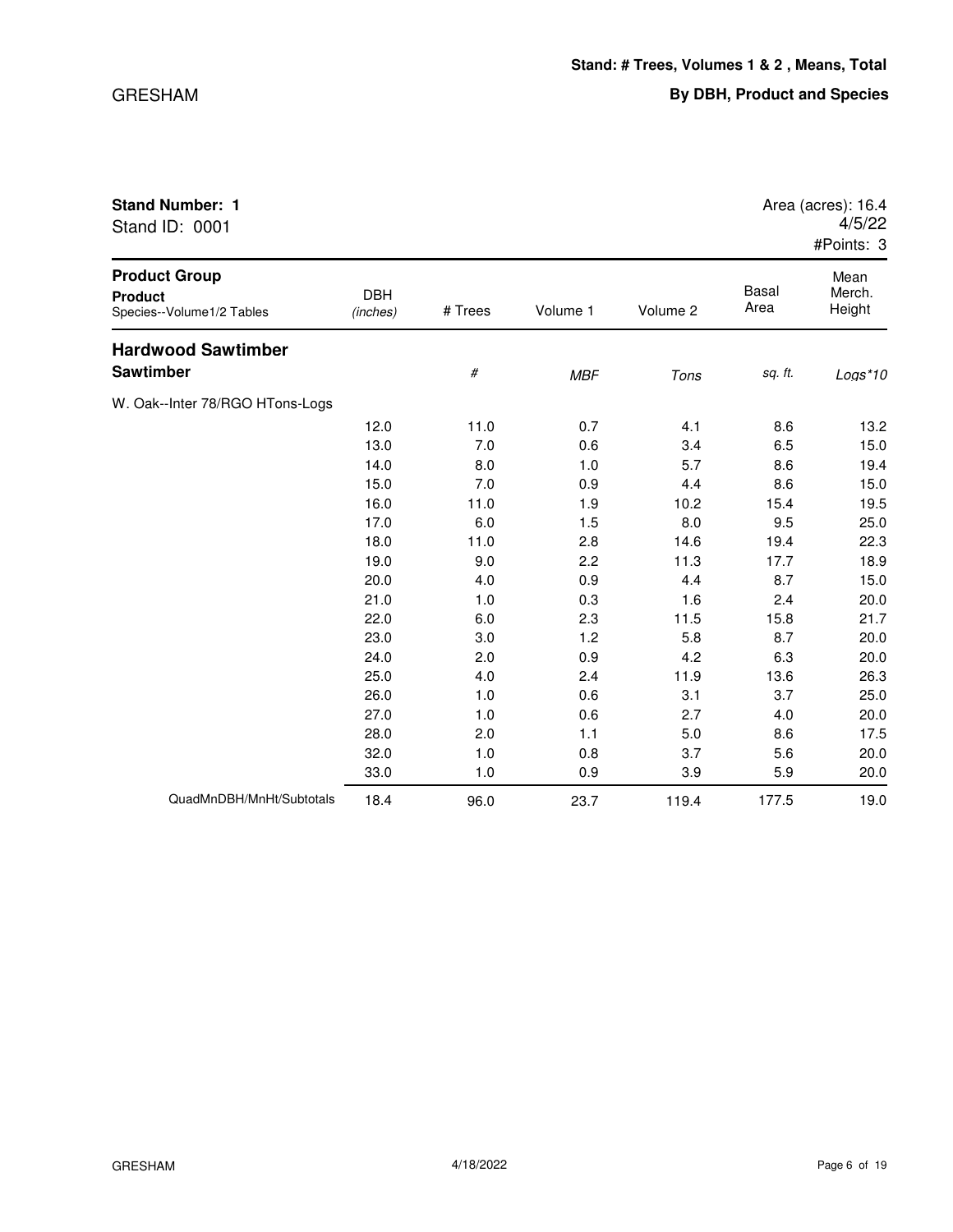| <b>Stand Number: 1</b><br>Stand ID: 0001 |             | Area (acres): 16.4<br>4/5/22<br>#Points: 3 |
|------------------------------------------|-------------|--------------------------------------------|
| <b>Product Group</b><br>_____            | <b>DDII</b> | Mean<br>Rasal<br>Morob                     |

| <b>Product</b><br>Species--Volume1/2 Tables | <b>DBH</b><br>(inches) | # Trees | Volume 1   | Volume 2 | Basal<br>Area | Merch.<br>Height |
|---------------------------------------------|------------------------|---------|------------|----------|---------------|------------------|
| <b>Hardwood Sawtimber</b>                   |                        |         |            |          |               |                  |
| Sawtimber                                   |                        | #       | <b>MBF</b> | Tons     | sq. ft.       | $Logs*10$        |
| W. Oak--Inter 78/RGO HTons-Logs             |                        |         |            |          |               |                  |
|                                             | 12.0                   | 11.0    | 0.7        | 4.1      | 8.6           | 13.2             |
|                                             | 13.0                   | 7.0     | 0.6        | 3.4      | 6.5           | 15.0             |
|                                             | 14.0                   | 8.0     | 1.0        | 5.7      | 8.6           | 19.4             |
|                                             | 15.0                   | 7.0     | 0.9        | 4.4      | 8.6           | 15.0             |
|                                             | 16.0                   | 11.0    | 1.9        | 10.2     | 15.4          | 19.5             |
|                                             | 17.0                   | 6.0     | 1.5        | 8.0      | 9.5           | 25.0             |
|                                             | 18.0                   | 11.0    | 2.8        | 14.6     | 19.4          | 22.3             |
|                                             | 19.0                   | 9.0     | 2.2        | 11.3     | 17.7          | 18.9             |
|                                             | 20.0                   | 4.0     | 0.9        | 4.4      | 8.7           | 15.0             |
|                                             | 21.0                   | 1.0     | 0.3        | 1.6      | 2.4           | 20.0             |
|                                             | 22.0                   | 6.0     | 2.3        | 11.5     | 15.8          | 21.7             |
|                                             | 23.0                   | 3.0     | 1.2        | 5.8      | 8.7           | 20.0             |
|                                             | 24.0                   | 2.0     | 0.9        | 4.2      | 6.3           | 20.0             |
|                                             | 25.0                   | 4.0     | 2.4        | 11.9     | 13.6          | 26.3             |
|                                             | 26.0                   | 1.0     | 0.6        | 3.1      | 3.7           | 25.0             |
|                                             | 27.0                   | 1.0     | 0.6        | 2.7      | 4.0           | 20.0             |
|                                             | 28.0                   | 2.0     | 1.1        | 5.0      | 8.6           | 17.5             |
|                                             | 32.0                   | 1.0     | 0.8        | 3.7      | 5.6           | 20.0             |
|                                             | 33.0                   | 1.0     | 0.9        | 3.9      | 5.9           | 20.0             |
| QuadMnDBH/MnHt/Subtotals                    | 18.4                   | 96.0    | 23.7       | 119.4    | 177.5         | 19.0             |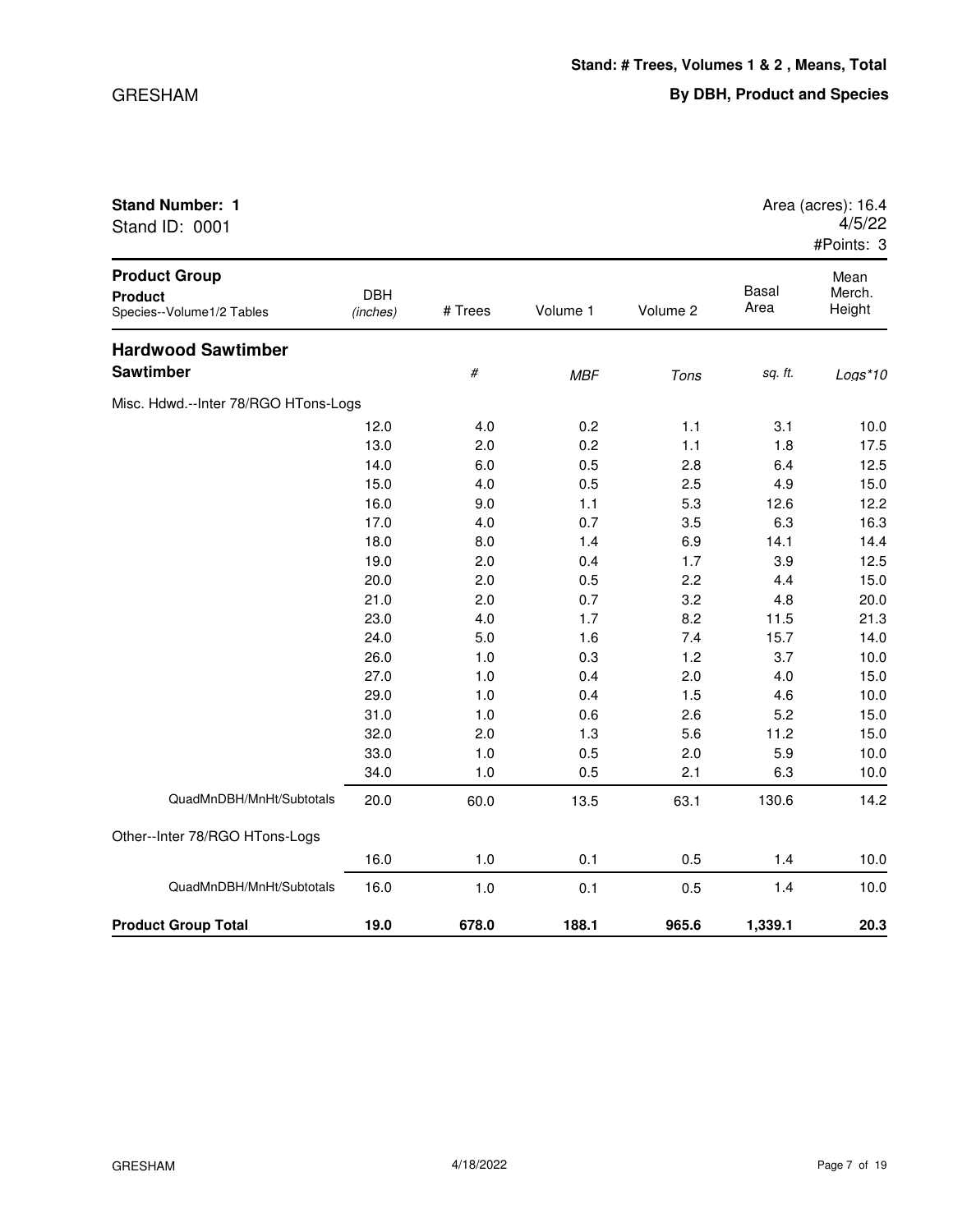| Stand ID: 0001                                                      |                        |         |            |          |                      | 4/5/22<br>#Points: 3     |
|---------------------------------------------------------------------|------------------------|---------|------------|----------|----------------------|--------------------------|
| <b>Product Group</b><br><b>Product</b><br>Species--Volume1/2 Tables | <b>DBH</b><br>(inches) | # Trees | Volume 1   | Volume 2 | <b>Basal</b><br>Area | Mean<br>Merch.<br>Height |
| <b>Hardwood Sawtimber</b>                                           |                        |         |            |          |                      |                          |
| Sawtimber                                                           |                        | $\#$    | <b>MBF</b> | Tons     | sq. ft.              | $Logs*10$                |
| Misc. Hdwd.--Inter 78/RGO HTons-Logs                                |                        |         |            |          |                      |                          |
|                                                                     | 12.0                   | 4.0     | 0.2        | 1.1      | 3.1                  | 10.0                     |
|                                                                     | 13.0                   | 2.0     | 0.2        | 1.1      | 1.8                  | 17.5                     |
|                                                                     | 14.0                   | 6.0     | 0.5        | 2.8      | 6.4                  | 12.5                     |
|                                                                     | 15.0                   | 4.0     | 0.5        | 2.5      | 4.9                  | 15.0                     |
|                                                                     | 16.0                   | 9.0     | 1.1        | 5.3      | 12.6                 | 12.2                     |
|                                                                     | 17.0                   | 4.0     | 0.7        | 3.5      | 6.3                  | 16.3                     |
|                                                                     | 18.0                   | 8.0     | 1.4        | 6.9      | 14.1                 | 14.4                     |
|                                                                     | 19.0                   | 2.0     | 0.4        | 1.7      | 3.9                  | 12.5                     |
|                                                                     | 20.0                   | 2.0     | 0.5        | 2.2      | 4.4                  | 15.0                     |
|                                                                     | 21.0                   | 2.0     | 0.7        | 3.2      | 4.8                  | 20.0                     |
|                                                                     | 23.0                   | 4.0     | 1.7        | 8.2      | 11.5                 | 21.3                     |
|                                                                     | 24.0                   | 5.0     | 1.6        | 7.4      | 15.7                 | 14.0                     |
|                                                                     | 26.0                   | 1.0     | 0.3        | 1.2      | 3.7                  | 10.0                     |
|                                                                     | 27.0                   | 1.0     | 0.4        | 2.0      | 4.0                  | 15.0                     |
|                                                                     | 29.0                   | 1.0     | 0.4        | 1.5      | 4.6                  | 10.0                     |
|                                                                     | 31.0                   | 1.0     | 0.6        | 2.6      | 5.2                  | 15.0                     |
|                                                                     | 32.0                   | 2.0     | 1.3        | 5.6      | 11.2                 | 15.0                     |
|                                                                     | 33.0                   | 1.0     | 0.5        | 2.0      | 5.9                  | 10.0                     |
|                                                                     | 34.0                   | 1.0     | 0.5        | 2.1      | 6.3                  | 10.0                     |
| QuadMnDBH/MnHt/Subtotals                                            | 20.0                   | 60.0    | 13.5       | 63.1     | 130.6                | 14.2                     |
| Other--Inter 78/RGO HTons-Logs                                      |                        |         |            |          |                      |                          |
|                                                                     | 16.0                   | 1.0     | 0.1        | 0.5      | 1.4                  | 10.0                     |

QuadMnDBH/MnHt/Subtotals 16.0 1.0 0.1 0.5 1.4 10.0

**Product Group Total 19.0 678.0 188.1 965.6 1,339.1 20.3**

**Stand Number: 1 Area (acres): 16.4 Area (acres): 16.4**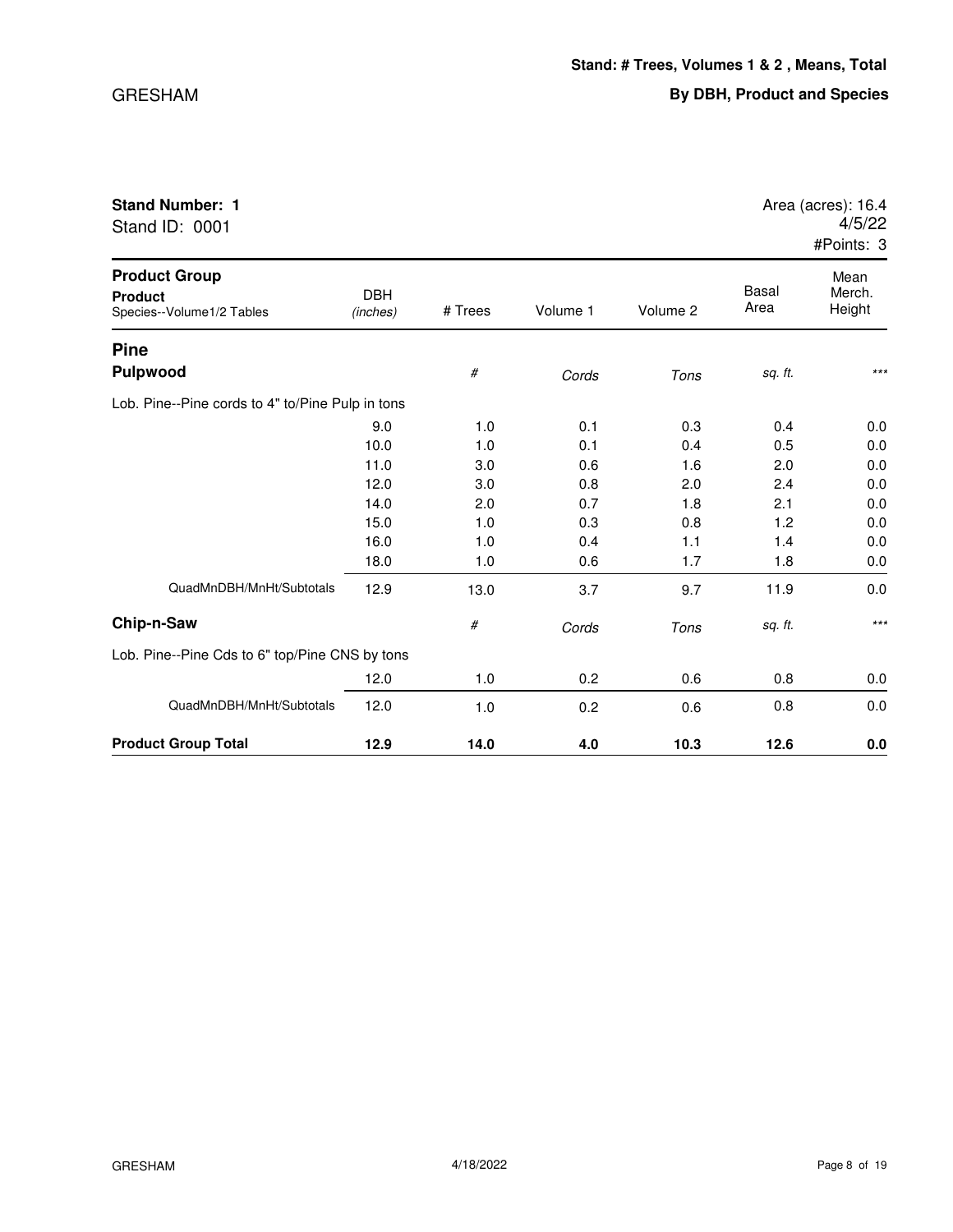| Stand ID: 0001                                                      |                        |         |          |          |                      | 4/5/22<br>#Points: 3     |
|---------------------------------------------------------------------|------------------------|---------|----------|----------|----------------------|--------------------------|
| <b>Product Group</b><br><b>Product</b><br>Species--Volume1/2 Tables | <b>DBH</b><br>(inches) | # Trees | Volume 1 | Volume 2 | <b>Basal</b><br>Area | Mean<br>Merch.<br>Height |
| <b>Pine</b>                                                         |                        |         |          |          |                      |                          |
| Pulpwood                                                            |                        | $\#$    | Cords    | Tons     | sq. ft.              | $***$                    |
| Lob. Pine--Pine cords to 4" to/Pine Pulp in tons                    |                        |         |          |          |                      |                          |
|                                                                     | 9.0                    | 1.0     | 0.1      | 0.3      | 0.4                  | 0.0                      |
|                                                                     | 10.0                   | 1.0     | 0.1      | 0.4      | 0.5                  | 0.0                      |
|                                                                     | 11.0                   | 3.0     | 0.6      | 1.6      | 2.0                  | 0.0                      |
|                                                                     | 12.0                   | 3.0     | 0.8      | 2.0      | 2.4                  | 0.0                      |
|                                                                     | 14.0                   | 2.0     | 0.7      | 1.8      | 2.1                  | 0.0                      |
|                                                                     | 15.0                   | 1.0     | 0.3      | 0.8      | 1.2                  | 0.0                      |
|                                                                     | 16.0                   | 1.0     | 0.4      | 1.1      | 1.4                  | 0.0                      |
|                                                                     | 18.0                   | 1.0     | 0.6      | 1.7      | 1.8                  | 0.0                      |
| QuadMnDBH/MnHt/Subtotals                                            | 12.9                   | 13.0    | 3.7      | 9.7      | 11.9                 | 0.0                      |
| Chip-n-Saw                                                          |                        | $\#$    | Cords    | Tons     | sq. ft.              | $***$                    |
| Lob. Pine--Pine Cds to 6" top/Pine CNS by tons                      |                        |         |          |          |                      |                          |
|                                                                     | 12.0                   | 1.0     | 0.2      | 0.6      | 0.8                  | 0.0                      |
| QuadMnDBH/MnHt/Subtotals                                            | 12.0                   | 1.0     | 0.2      | 0.6      | 0.8                  | 0.0                      |

**Product Group Total 12.9 14.0 4.0 10.3 12.6 0.0**

## **Stand Number: 1 Area (acres): 16.4 Area (acres): 16.4**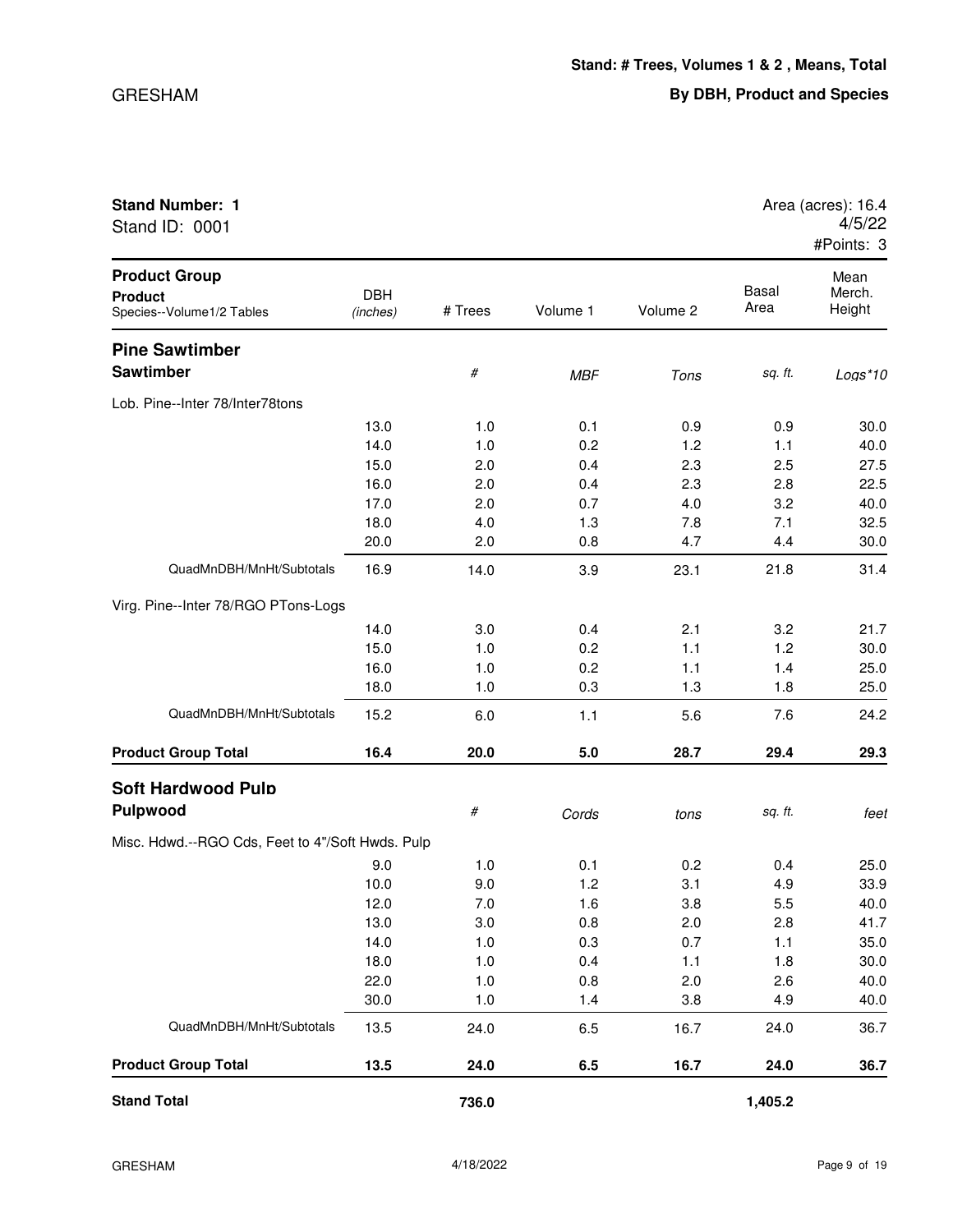| Stand ID: 0001                                                      |                        |         |            |          |                      | 4/5/22<br>#Points: 3     |
|---------------------------------------------------------------------|------------------------|---------|------------|----------|----------------------|--------------------------|
| <b>Product Group</b><br><b>Product</b><br>Species--Volume1/2 Tables | <b>DBH</b><br>(inches) | # Trees | Volume 1   | Volume 2 | <b>Basal</b><br>Area | Mean<br>Merch.<br>Height |
| <b>Pine Sawtimber</b>                                               |                        |         |            |          |                      |                          |
| <b>Sawtimber</b>                                                    |                        | #       | <b>MBF</b> | Tons     | sq. ft.              | $Logs*10$                |
| Lob. Pine--Inter 78/Inter78tons                                     |                        |         |            |          |                      |                          |
|                                                                     | 13.0                   | 1.0     | 0.1        | 0.9      | 0.9                  | 30.0                     |
|                                                                     | 14.0                   | 1.0     | 0.2        | 1.2      | 1.1                  | 40.0                     |
|                                                                     | 15.0                   | 2.0     | 0.4        | 2.3      | 2.5                  | 27.5                     |
|                                                                     | 16.0                   | 2.0     | 0.4        | 2.3      | 2.8                  | 22.5                     |
|                                                                     | 17.0                   | 2.0     | 0.7        | 4.0      | 3.2                  | 40.0                     |
|                                                                     | 18.0                   | 4.0     | 1.3        | 7.8      | 7.1                  | 32.5                     |
|                                                                     | 20.0                   | 2.0     | 0.8        | 4.7      | 4.4                  | 30.0                     |
| QuadMnDBH/MnHt/Subtotals                                            | 16.9                   | 14.0    | 3.9        | 23.1     | 21.8                 | 31.4                     |
| Virg. Pine--Inter 78/RGO PTons-Logs                                 |                        |         |            |          |                      |                          |
|                                                                     | 14.0                   | 3.0     | 0.4        | 2.1      | 3.2                  | 21.7                     |
|                                                                     | 15.0                   | 1.0     | 0.2        | 1.1      | 1.2                  | 30.0                     |
|                                                                     | 16.0                   | 1.0     | 0.2        | 1.1      | 1.4                  | 25.0                     |
|                                                                     | 18.0                   | 1.0     | 0.3        | 1.3      | 1.8                  | 25.0                     |
| QuadMnDBH/MnHt/Subtotals                                            | 15.2                   | 6.0     | 1.1        | 5.6      | 7.6                  | 24.2                     |
| <b>Product Group Total</b>                                          | 16.4                   | 20.0    | 5.0        | 28.7     | 29.4                 | 29.3                     |
| <b>Soft Hardwood Pulp</b>                                           |                        |         |            |          |                      |                          |
| <b>Pulpwood</b>                                                     |                        | #       | Cords      | tons     | sq. ft.              | feet                     |
| Misc. Hdwd.--RGO Cds, Feet to 4"/Soft Hwds. Pulp                    |                        |         |            |          |                      |                          |
|                                                                     | 9.0                    | 1.0     | 0.1        | 0.2      | 0.4                  | 25.0                     |
|                                                                     | 10.0                   | 9.0     | 1.2        | 3.1      | 4.9                  | 33.9                     |
|                                                                     | 12.0                   | 7.0     | 1.6        | 3.8      | 5.5                  | 40.0                     |
|                                                                     | 13.0                   | 3.0     | 0.8        | 2.0      | 2.8                  | 41.7                     |
|                                                                     | 14.0                   | 1.0     | 0.3        | 0.7      | 1.1                  | 35.0                     |
|                                                                     | 18.0                   | 1.0     | 0.4        | 1.1      | 1.8                  | 30.0                     |
|                                                                     | 22.0                   | 1.0     | 0.8        | 2.0      | 2.6                  | 40.0                     |
|                                                                     | 30.0                   | 1.0     | 1.4        | 3.8      | 4.9                  | 40.0                     |
| QuadMnDBH/MnHt/Subtotals                                            | 13.5                   | 24.0    | 6.5        | 16.7     | 24.0                 | 36.7                     |

**Stand Total 736.0 1,405.2**

**Product Group Total 13.5 24.0 6.5 16.7 24.0 36.7**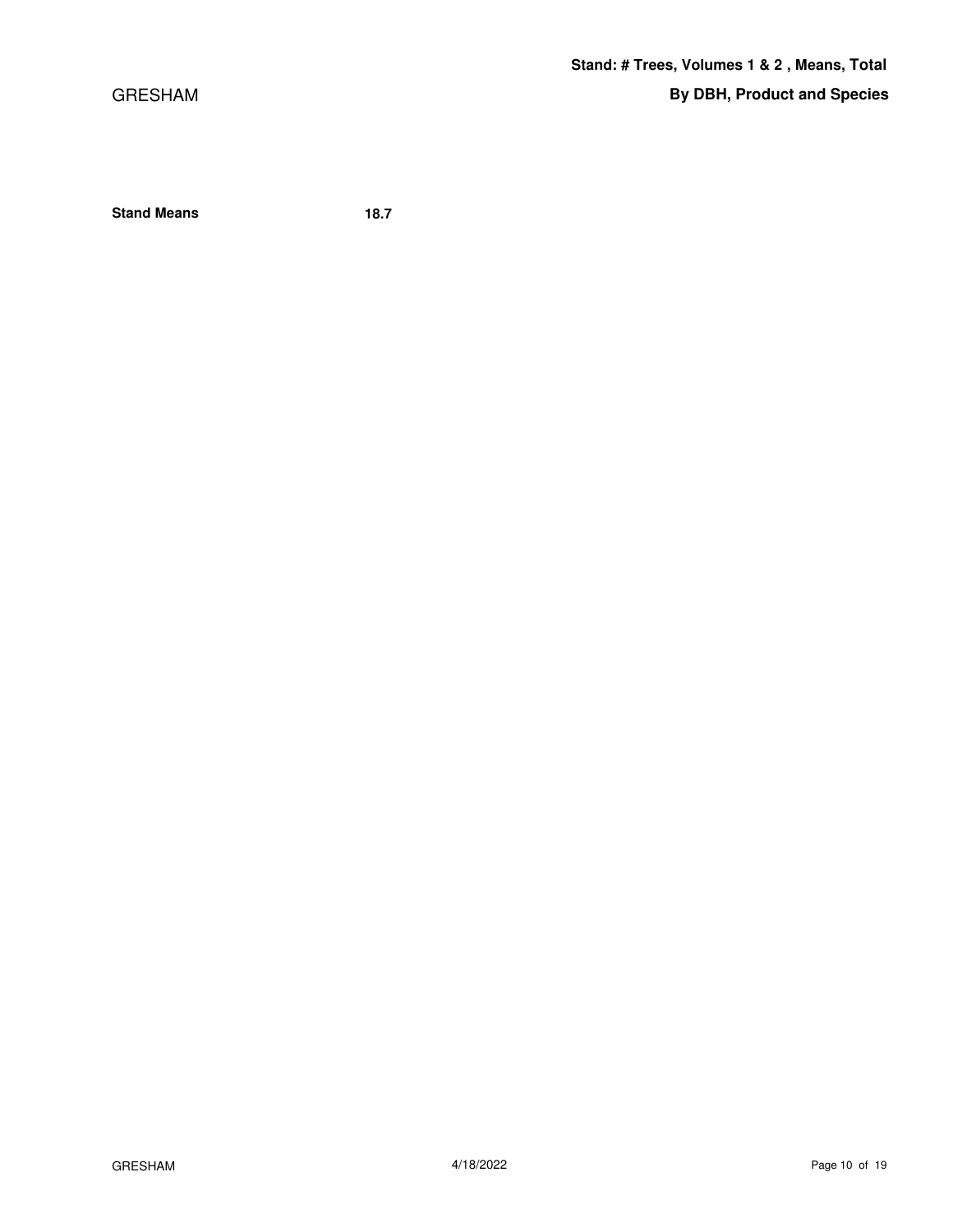GRESHAM

**Stand Means 18.7**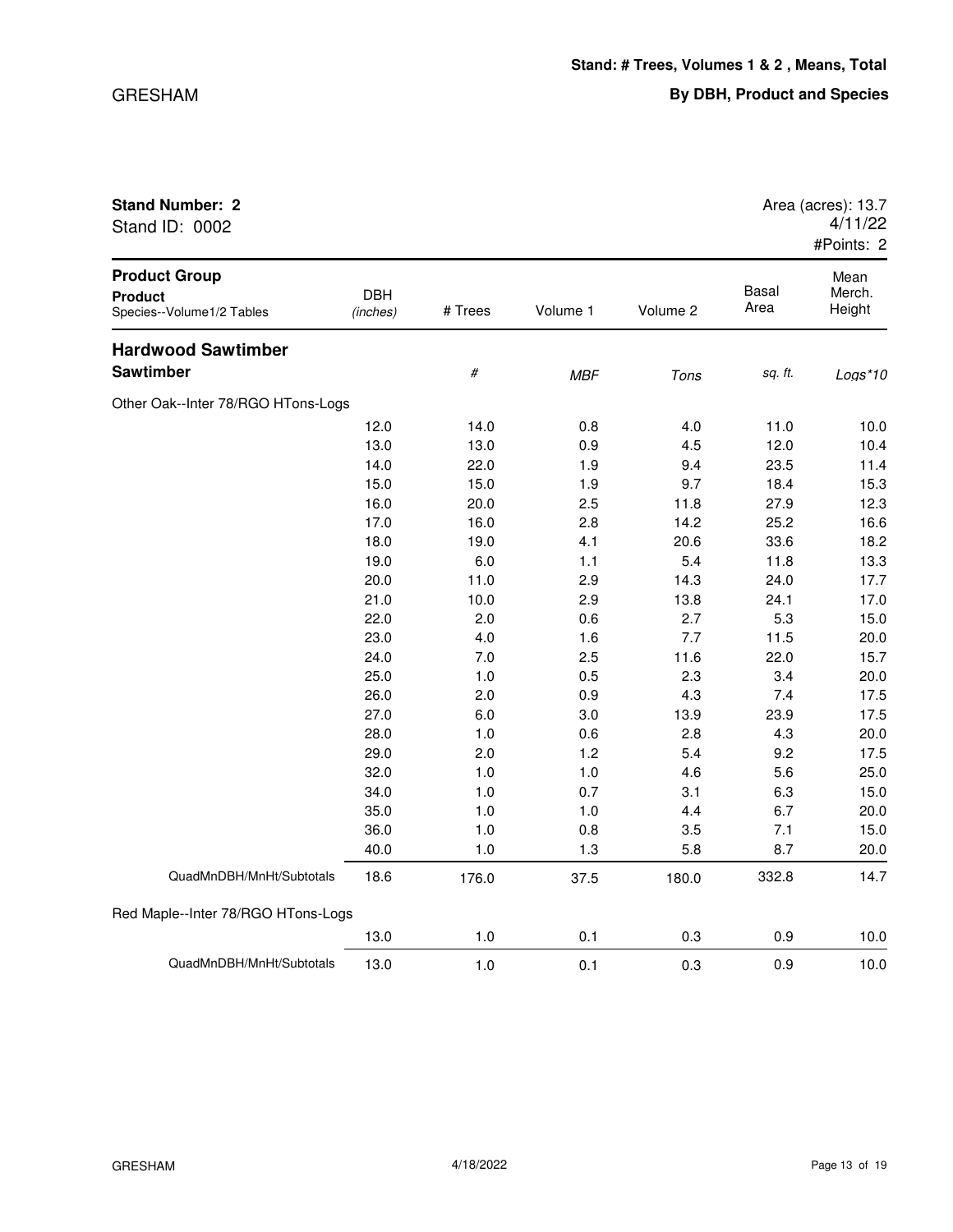| Stand ID: 0002                                                      |                        |         |            |          |               | 4/11/22<br>#Points: 2    |
|---------------------------------------------------------------------|------------------------|---------|------------|----------|---------------|--------------------------|
| <b>Product Group</b><br><b>Product</b><br>Species--Volume1/2 Tables | <b>DBH</b><br>(inches) | # Trees | Volume 1   | Volume 2 | Basal<br>Area | Mean<br>Merch.<br>Height |
| <b>Hardwood Sawtimber</b>                                           |                        |         |            |          |               |                          |
| Sawtimber                                                           |                        | $\#$    | <b>MBF</b> | Tons     | sq. ft.       | Logs*10                  |
| Other Oak--Inter 78/RGO HTons-Logs                                  |                        |         |            |          |               |                          |
|                                                                     | 12.0                   | 14.0    | 0.8        | 4.0      | 11.0          | 10.0                     |
|                                                                     | 13.0                   | 13.0    | 0.9        | 4.5      | 12.0          | 10.4                     |
|                                                                     | 14.0                   | 22.0    | 1.9        | 9.4      | 23.5          | 11.4                     |
|                                                                     | 15.0                   | 15.0    | 1.9        | 9.7      | 18.4          | 15.3                     |
|                                                                     | 16.0                   | 20.0    | 2.5        | 11.8     | 27.9          | 12.3                     |
|                                                                     | 17.0                   | 16.0    | 2.8        | 14.2     | 25.2          | 16.6                     |
|                                                                     | 18.0                   | 19.0    | 4.1        | 20.6     | 33.6          | 18.2                     |
|                                                                     | 19.0                   | 6.0     | 1.1        | 5.4      | 11.8          | 13.3                     |
|                                                                     | 20.0                   | 11.0    | 2.9        | 14.3     | 24.0          | 17.7                     |
|                                                                     | 21.0                   | 10.0    | 2.9        | 13.8     | 24.1          | 17.0                     |
|                                                                     | 22.0                   | 2.0     | 0.6        | 2.7      | 5.3           | 15.0                     |
|                                                                     | 23.0                   | 4.0     | 1.6        | 7.7      | 11.5          | 20.0                     |
|                                                                     | 24.0                   | 7.0     | 2.5        | 11.6     | 22.0          | 15.7                     |
|                                                                     | 25.0                   | 1.0     | 0.5        | 2.3      | 3.4           | 20.0                     |
|                                                                     | 26.0                   | 2.0     | 0.9        | 4.3      | 7.4           | 17.5                     |
|                                                                     | 27.0                   | 6.0     | 3.0        | 13.9     | 23.9          | 17.5                     |
|                                                                     | 28.0                   | 1.0     | 0.6        | 2.8      | 4.3           | 20.0                     |
|                                                                     | 29.0                   | 2.0     | 1.2        | 5.4      | 9.2           | 17.5                     |
|                                                                     | 32.0                   | 1.0     | 1.0        | 4.6      | 5.6           | 25.0                     |
|                                                                     | 34.0                   | 1.0     | 0.7        | 3.1      | 6.3           | 15.0                     |
|                                                                     | 35.0                   | 1.0     | 1.0        | 4.4      | 6.7           | 20.0                     |
|                                                                     | 36.0                   | 1.0     | 0.8        | 3.5      | 7.1           | 15.0                     |
|                                                                     | 40.0                   | 1.0     | 1.3        | 5.8      | 8.7           | 20.0                     |
| QuadMnDBH/MnHt/Subtotals                                            | 18.6                   | 176.0   | 37.5       | 180.0    | 332.8         | 14.7                     |
| Red Maple--Inter 78/RGO HTons-Logs                                  |                        |         |            |          |               |                          |
|                                                                     | 13.0                   | 1.0     | 0.1        | 0.3      | 0.9           | 10.0                     |

GRESHAM 4/18/2022 Page 13 of 19

QuadMnDBH/MnHt/Subtotals 13.0 1.0 0.1 0.3 0.9 10.0

**Stand Number: 2** Area (acres): 13.7 4/11/22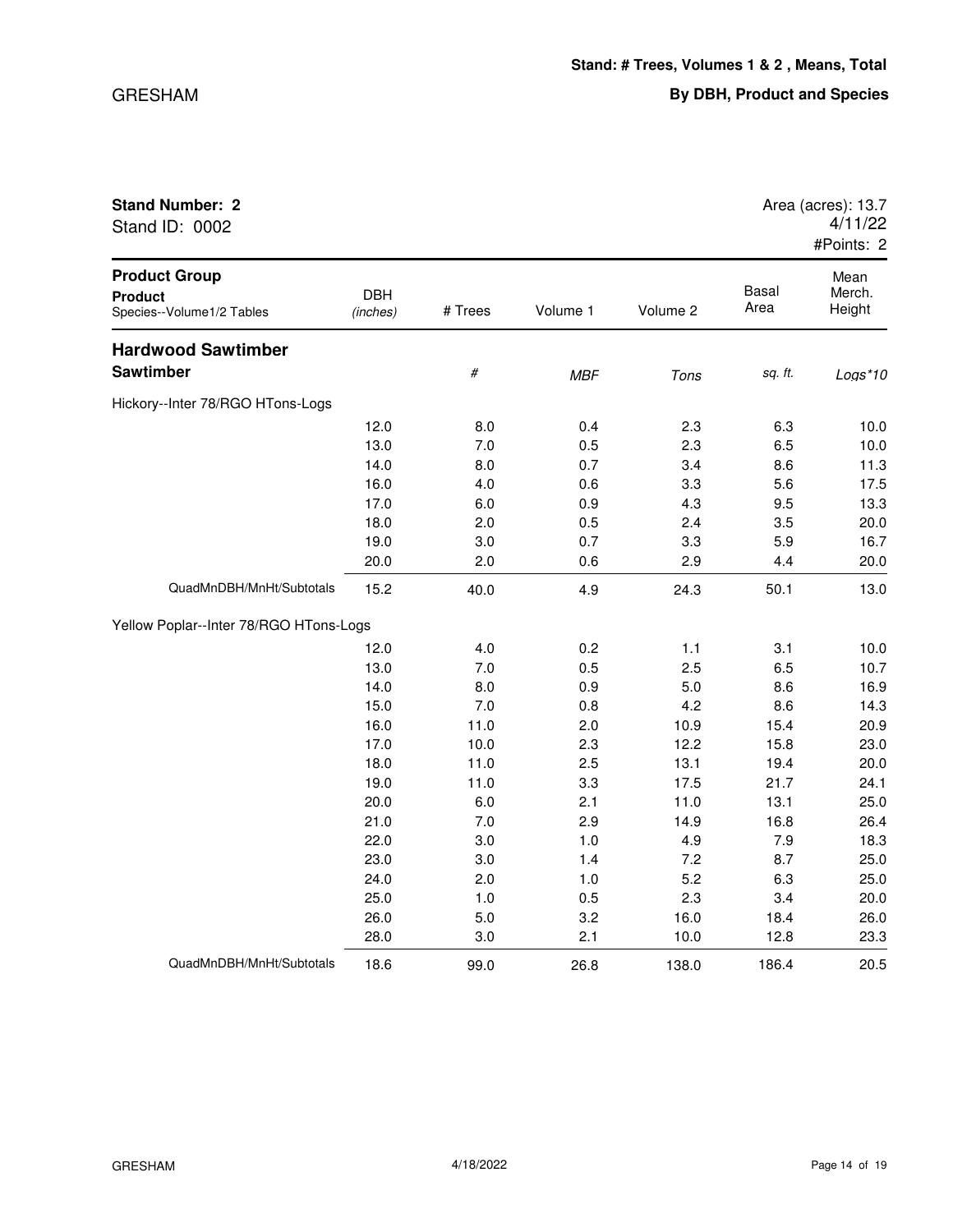| Stand ID: 0002                                                      |                        |         |            |          |                      | 4/11/22<br>#Points: 2    |
|---------------------------------------------------------------------|------------------------|---------|------------|----------|----------------------|--------------------------|
| <b>Product Group</b><br><b>Product</b><br>Species--Volume1/2 Tables | <b>DBH</b><br>(inches) | # Trees | Volume 1   | Volume 2 | <b>Basal</b><br>Area | Mean<br>Merch.<br>Height |
| <b>Hardwood Sawtimber</b>                                           |                        |         |            |          |                      |                          |
| <b>Sawtimber</b>                                                    |                        | #       | <b>MBF</b> | Tons     | sq. ft.              | Logs*10                  |
| Hickory--Inter 78/RGO HTons-Logs                                    |                        |         |            |          |                      |                          |
|                                                                     | 12.0                   | 8.0     | 0.4        | 2.3      | 6.3                  | 10.0                     |
|                                                                     | 13.0                   | 7.0     | 0.5        | 2.3      | 6.5                  | 10.0                     |
|                                                                     | 14.0                   | 8.0     | 0.7        | 3.4      | 8.6                  | 11.3                     |
|                                                                     | 16.0                   | 4.0     | 0.6        | 3.3      | 5.6                  | 17.5                     |
|                                                                     | 17.0                   | 6.0     | 0.9        | 4.3      | 9.5                  | 13.3                     |
|                                                                     | 18.0                   | 2.0     | 0.5        | 2.4      | 3.5                  | 20.0                     |
|                                                                     | 19.0                   | 3.0     | 0.7        | 3.3      | 5.9                  | 16.7                     |
|                                                                     | 20.0                   | 2.0     | 0.6        | 2.9      | 4.4                  | 20.0                     |
| QuadMnDBH/MnHt/Subtotals                                            | 15.2                   | 40.0    | 4.9        | 24.3     | 50.1                 | 13.0                     |
| Yellow Poplar--Inter 78/RGO HTons-Logs                              |                        |         |            |          |                      |                          |
|                                                                     | 12.0                   | 4.0     | 0.2        | 1.1      | 3.1                  | 10.0                     |
|                                                                     | 13.0                   | 7.0     | 0.5        | 2.5      | 6.5                  | 10.7                     |
|                                                                     | 14.0                   | 8.0     | 0.9        | 5.0      | 8.6                  | 16.9                     |
|                                                                     | 15.0                   | 7.0     | 0.8        | 4.2      | 8.6                  | 14.3                     |
|                                                                     | 16.0                   | 11.0    | 2.0        | 10.9     | 15.4                 | 20.9                     |

17.0 10.0 2.3 12.2 15.8 23.0 18.0 11.0 2.5 13.1 19.4 20.0 19.0 11.0 3.3 17.5 21.7 24.1 20.0 6.0 2.1 11.0 13.1 25.0 21.0 7.0 2.9 14.9 16.8 26.4 22.0 3.0 1.0 4.9 7.9 18.3 23.0 3.0 1.4 7.2 8.7 25.0 24.0 2.0 1.0 5.2 6.3 25.0 25.0 1.0 0.5 2.3 3.4 20.0 26.0 5.0 3.2 16.0 18.4 26.0

## **Stand Number: 2** Area (acres): 13.7

28.0 3.0 2.1 10.0 12.8 23.3 QuadMnDBH/MnHt/Subtotals 18.6 99.0 26.8 138.0 186.4 20.5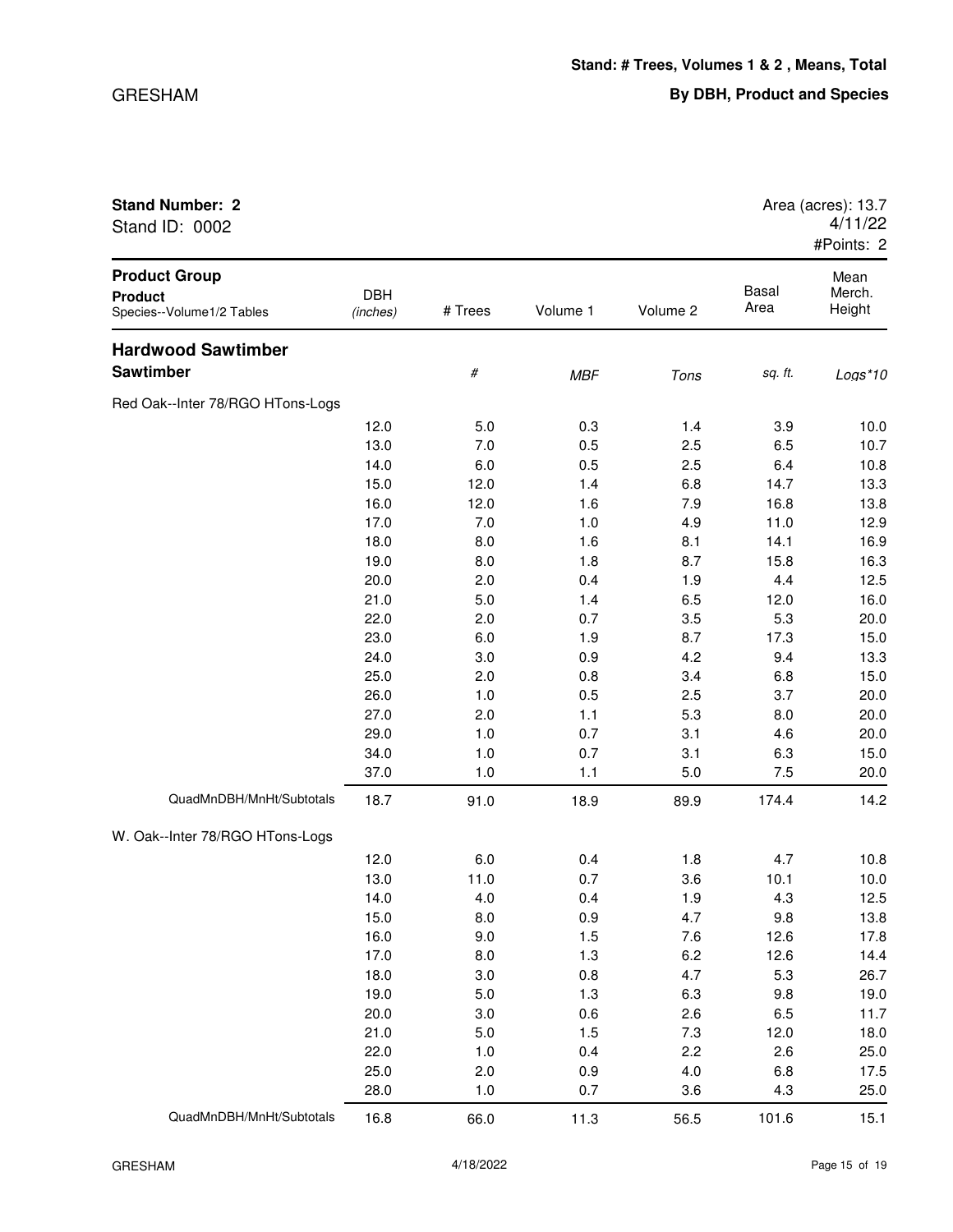| Stand ID: 0002                                                      |                        |         |            |          |               | 4/11/22<br>#Points: 2    |
|---------------------------------------------------------------------|------------------------|---------|------------|----------|---------------|--------------------------|
| <b>Product Group</b><br><b>Product</b><br>Species--Volume1/2 Tables | <b>DBH</b><br>(inches) | # Trees | Volume 1   | Volume 2 | Basal<br>Area | Mean<br>Merch.<br>Height |
| <b>Hardwood Sawtimber</b>                                           |                        |         |            |          |               |                          |
| Sawtimber                                                           |                        | #       | <b>MBF</b> | Tons     | sq. ft.       | $Logs*10$                |
| Red Oak--Inter 78/RGO HTons-Logs                                    |                        |         |            |          |               |                          |
|                                                                     | 12.0                   | 5.0     | 0.3        | 1.4      | 3.9           | 10.0                     |
|                                                                     | 13.0                   | 7.0     | 0.5        | 2.5      | 6.5           | 10.7                     |
|                                                                     | 14.0                   | 6.0     | 0.5        | 2.5      | 6.4           | 10.8                     |
|                                                                     | 15.0                   | 12.0    | 1.4        | 6.8      | 14.7          | 13.3                     |
|                                                                     | 16.0                   | 12.0    | 1.6        | 7.9      | 16.8          | 13.8                     |
|                                                                     | 17.0                   | 7.0     | 1.0        | 4.9      | 11.0          | 12.9                     |
|                                                                     | 18.0                   | 8.0     | 1.6        | 8.1      | 14.1          | 16.9                     |
|                                                                     | 19.0                   | 8.0     | 1.8        | 8.7      | 15.8          | 16.3                     |
|                                                                     | 20.0                   | 2.0     | 0.4        | 1.9      | 4.4           | 12.5                     |
|                                                                     | 21.0                   | 5.0     | 1.4        | 6.5      | 12.0          | 16.0                     |
|                                                                     | 22.0                   | 2.0     | 0.7        | 3.5      | 5.3           | 20.0                     |
|                                                                     | 23.0                   | 6.0     | 1.9        | 8.7      | 17.3          | 15.0                     |
|                                                                     | 24.0                   | 3.0     | 0.9        | 4.2      | 9.4           | 13.3                     |
|                                                                     | 25.0                   | 2.0     | 0.8        | 3.4      | 6.8           | 15.0                     |
|                                                                     | 26.0                   | 1.0     | 0.5        | 2.5      | 3.7           | 20.0                     |
|                                                                     | 27.0                   | 2.0     | 1.1        | 5.3      | 8.0           | 20.0                     |
|                                                                     | 29.0                   | 1.0     | 0.7        | 3.1      | 4.6           | 20.0                     |
|                                                                     | 34.0                   | 1.0     | 0.7        | 3.1      | 6.3           | 15.0                     |
|                                                                     | 37.0                   | 1.0     | 1.1        | 5.0      | 7.5           | 20.0                     |
| QuadMnDBH/MnHt/Subtotals                                            | 18.7                   | 91.0    | 18.9       | 89.9     | 174.4         | 14.2                     |
| W. Oak--Inter 78/RGO HTons-Logs                                     |                        |         |            |          |               |                          |
|                                                                     | 12.0                   | 6.0     | 0.4        | 1.8      | 4.7           | 10.8                     |
|                                                                     | 13.0                   | 11.0    | 0.7        | 3.6      | 10.1          | 10.0                     |
|                                                                     | 14.0                   | 4.0     | 0.4        | 1.9      | 4.3           | 12.5                     |
|                                                                     | 15.0                   | 8.0     | 0.9        | 4.7      | 9.8           | 13.8                     |
|                                                                     | 16.0                   | 9.0     | 1.5        | 7.6      | 12.6          | 17.8                     |
|                                                                     | 17.0                   | 8.0     | 1.3        | 6.2      | 12.6          | 14.4                     |
|                                                                     | 18.0                   | 3.0     | 0.8        | 4.7      | 5.3           | 26.7                     |
|                                                                     | 19.0                   | 5.0     | 1.3        | 6.3      | 9.8           | 19.0                     |
|                                                                     | 20.0                   | 3.0     | 0.6        | 2.6      | 6.5           | 11.7                     |
|                                                                     | 21.0                   | 5.0     | 1.5        | 7.3      | 12.0          | 18.0                     |
|                                                                     | 22.0                   | 1.0     | 0.4        | 2.2      | 2.6           | 25.0                     |
|                                                                     | 25.0                   | 2.0     | 0.9        | 4.0      | 6.8           | 17.5                     |
|                                                                     | 28.0                   | 1.0     | 0.7        | 3.6      | 4.3           | 25.0                     |

QuadMnDBH/MnHt/Subtotals 16.8 66.0 11.3 56.5 101.6 15.1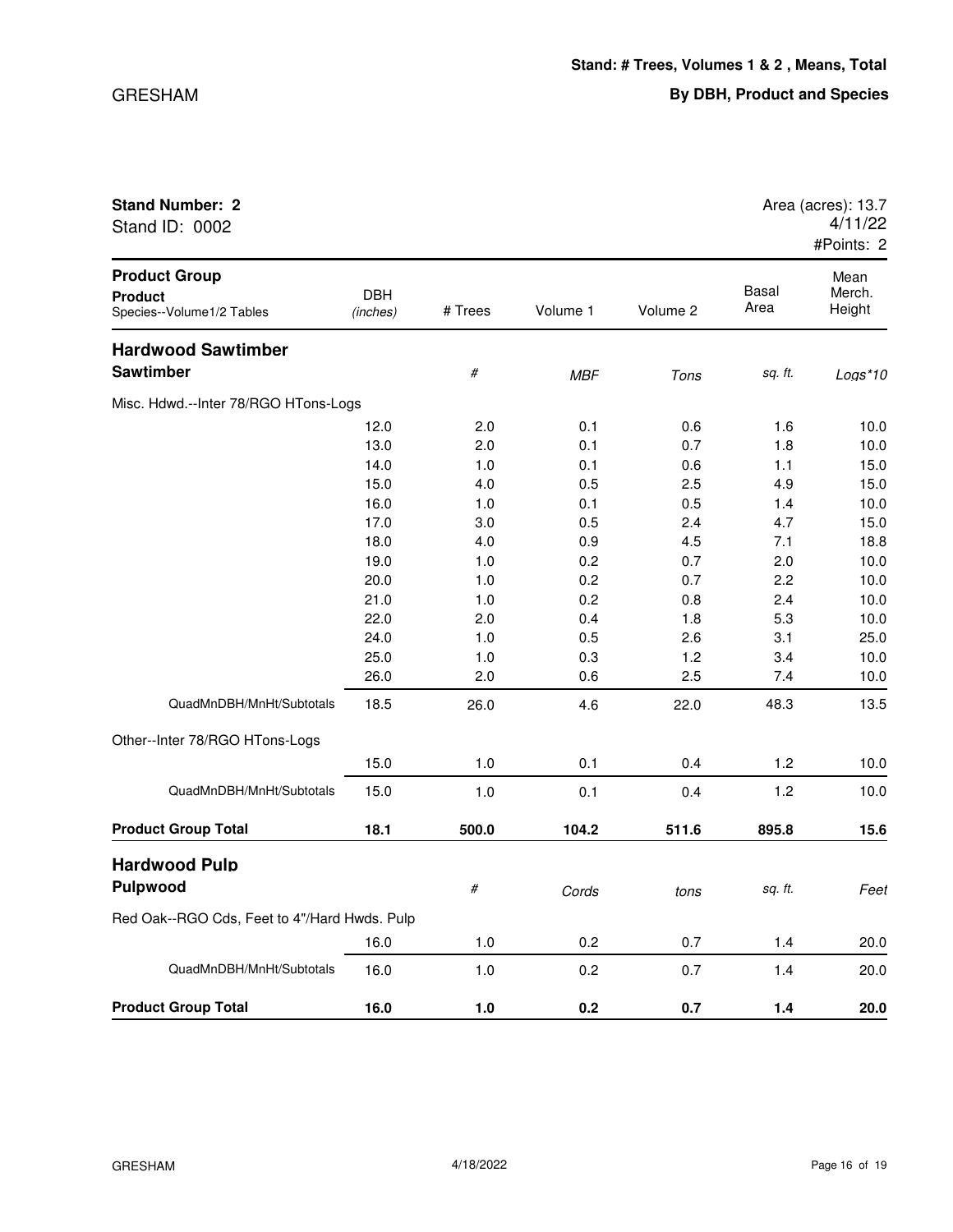| Stand ID: 0002                                                      |                        |         |            |          |                      | 4/11/22<br>#Points: 2    |
|---------------------------------------------------------------------|------------------------|---------|------------|----------|----------------------|--------------------------|
| <b>Product Group</b><br><b>Product</b><br>Species--Volume1/2 Tables | <b>DBH</b><br>(inches) | # Trees | Volume 1   | Volume 2 | <b>Basal</b><br>Area | Mean<br>Merch.<br>Height |
| <b>Hardwood Sawtimber</b>                                           |                        |         |            |          |                      |                          |
| <b>Sawtimber</b>                                                    |                        | $\#$    | <b>MBF</b> | Tons     | sq. ft.              | Logs*10                  |
| Misc. Hdwd.--Inter 78/RGO HTons-Logs                                |                        |         |            |          |                      |                          |
|                                                                     | 12.0                   | 2.0     | 0.1        | 0.6      | 1.6                  | 10.0                     |
|                                                                     | 13.0                   | 2.0     | 0.1        | 0.7      | 1.8                  | 10.0                     |
|                                                                     | 14.0                   | 1.0     | 0.1        | 0.6      | 1.1                  | 15.0                     |
|                                                                     | 15.0                   | 4.0     | 0.5        | 2.5      | 4.9                  | 15.0                     |
|                                                                     | 16.0                   | 1.0     | 0.1        | 0.5      | 1.4                  | 10.0                     |
|                                                                     | 17.0                   | 3.0     | 0.5        | 2.4      | 4.7                  | 15.0                     |
|                                                                     | 18.0                   | 4.0     | 0.9        | 4.5      | 7.1                  | 18.8                     |
|                                                                     | 19.0                   | 1.0     | 0.2        | 0.7      | 2.0                  | 10.0                     |
|                                                                     | 20.0                   | 1.0     | 0.2        | 0.7      | 2.2                  | 10.0                     |
|                                                                     | 21.0                   | 1.0     | 0.2        | 0.8      | 2.4                  | 10.0                     |
|                                                                     | 22.0                   | 2.0     | 0.4        | 1.8      | 5.3                  | 10.0                     |
|                                                                     | 24.0                   | 1.0     | 0.5        | 2.6      | 3.1                  | 25.0                     |
|                                                                     | 25.0                   | 1.0     | 0.3        | 1.2      | 3.4                  | 10.0                     |
|                                                                     | 26.0                   | 2.0     | 0.6        | 2.5      | 7.4                  | 10.0                     |
| QuadMnDBH/MnHt/Subtotals                                            | 18.5                   | 26.0    | 4.6        | 22.0     | 48.3                 | 13.5                     |
| Other--Inter 78/RGO HTons-Logs                                      |                        |         |            |          |                      |                          |
|                                                                     | 15.0                   | 1.0     | 0.1        | 0.4      | 1.2                  | 10.0                     |
| QuadMnDBH/MnHt/Subtotals                                            | 15.0                   | 1.0     | 0.1        | 0.4      | 1.2                  | 10.0                     |
| <b>Product Group Total</b>                                          | 18.1                   | 500.0   | 104.2      | 511.6    | 895.8                | 15.6                     |
| <b>Hardwood Pulp</b>                                                |                        |         |            |          |                      |                          |

| <b>Product Group Total</b>                   | 16.0 | 1.0   | 0.2   | 0.7   | 1.4     | 20.0 |
|----------------------------------------------|------|-------|-------|-------|---------|------|
| QuadMnDBH/MnHt/Subtotals                     | 16.0 | 1.0   | 0.2   | 0.7   | 1.4     | 20.0 |
|                                              | 16.0 | 1.0   | 0.2   | 0.7   | 1.4     | 20.0 |
| Red Oak--RGO Cds, Feet to 4"/Hard Hwds. Pulp |      |       |       |       |         |      |
| <b>Hardwood Pulp</b><br><b>Pulpwood</b>      |      | #     | Cords | tons  | sq. ft. | Feet |
| <b>Product Group Total</b>                   | 18.1 | 500.0 | 104.2 | 511.6 | 895.8   | 15.6 |
| QuadMnDBH/MnHt/Subtotals                     | 15.0 | 1.0   | 0.1   | 0.4   | 1.2     | 10.0 |
|                                              | 15.0 | 1.0   | 0.1   | 0.4   | 1.2     | 10.0 |
| Other--Inter 78/RGO HTons-Logs               |      |       |       |       |         |      |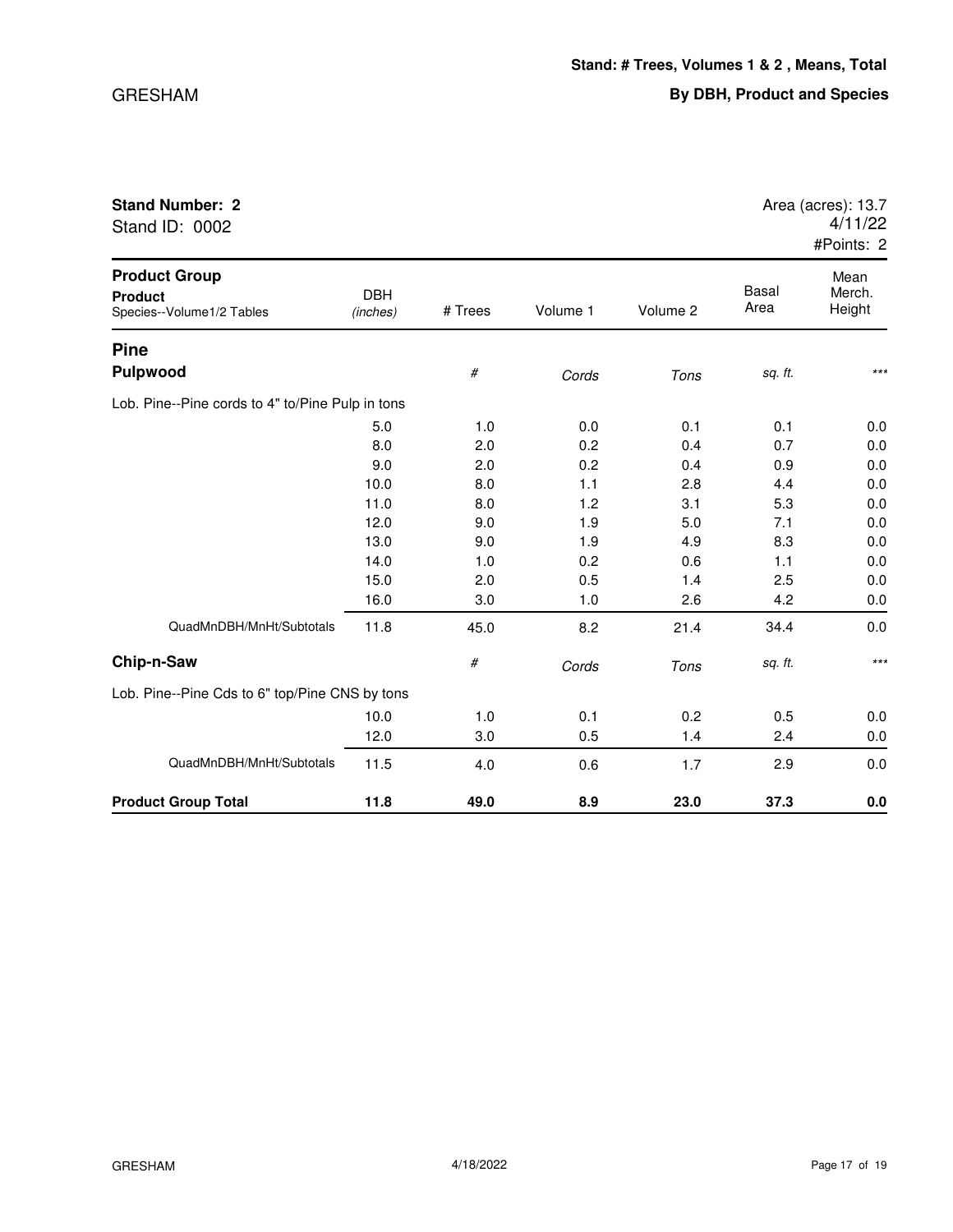| Stand ID: 0002                                                      |                        |         |          |          |               | 4/11/22<br>#Points: 2    |
|---------------------------------------------------------------------|------------------------|---------|----------|----------|---------------|--------------------------|
| <b>Product Group</b><br><b>Product</b><br>Species--Volume1/2 Tables | <b>DBH</b><br>(inches) | # Trees | Volume 1 | Volume 2 | Basal<br>Area | Mean<br>Merch.<br>Height |
| <b>Pine</b>                                                         |                        |         |          |          |               |                          |
| <b>Pulpwood</b>                                                     |                        | #       | Cords    | Tons     | sq. ft.       | $***$                    |
| Lob. Pine--Pine cords to 4" to/Pine Pulp in tons                    |                        |         |          |          |               |                          |
|                                                                     | 5.0                    | 1.0     | 0.0      | 0.1      | 0.1           | 0.0                      |
|                                                                     | 8.0                    | 2.0     | 0.2      | 0.4      | 0.7           | 0.0                      |
|                                                                     | 9.0                    | 2.0     | 0.2      | 0.4      | 0.9           | 0.0                      |
|                                                                     | 10.0                   | 8.0     | 1.1      | 2.8      | 4.4           | 0.0                      |
|                                                                     | 11.0                   | 8.0     | 1.2      | 3.1      | 5.3           | 0.0                      |
|                                                                     | 12.0                   | 9.0     | 1.9      | 5.0      | 7.1           | 0.0                      |
|                                                                     | 13.0                   | 9.0     | 1.9      | 4.9      | 8.3           | 0.0                      |
|                                                                     | 14.0                   | 1.0     | 0.2      | 0.6      | 1.1           | 0.0                      |
|                                                                     | 15.0                   | 2.0     | 0.5      | 1.4      | 2.5           | 0.0                      |
|                                                                     | 16.0                   | 3.0     | 1.0      | 2.6      | 4.2           | 0.0                      |
| QuadMnDBH/MnHt/Subtotals                                            | 11.8                   | 45.0    | 8.2      | 21.4     | 34.4          | 0.0                      |
| Chip-n-Saw                                                          |                        | #       | Cords    | Tons     | sq. ft.       | $***$                    |
| Lob. Pine--Pine Cds to 6" top/Pine CNS by tons                      |                        |         |          |          |               |                          |
|                                                                     | 10.0                   | 1.0     | 0.1      | 0.2      | 0.5           | 0.0                      |
|                                                                     | 12.0                   | 3.0     | 0.5      | 1.4      | 2.4           | 0.0                      |
| QuadMnDBH/MnHt/Subtotals                                            | 11.5                   | 4.0     | 0.6      | 1.7      | 2.9           | 0.0                      |
| <b>Product Group Total</b>                                          | 11.8                   | 49.0    | 8.9      | 23.0     | 37.3          | 0.0                      |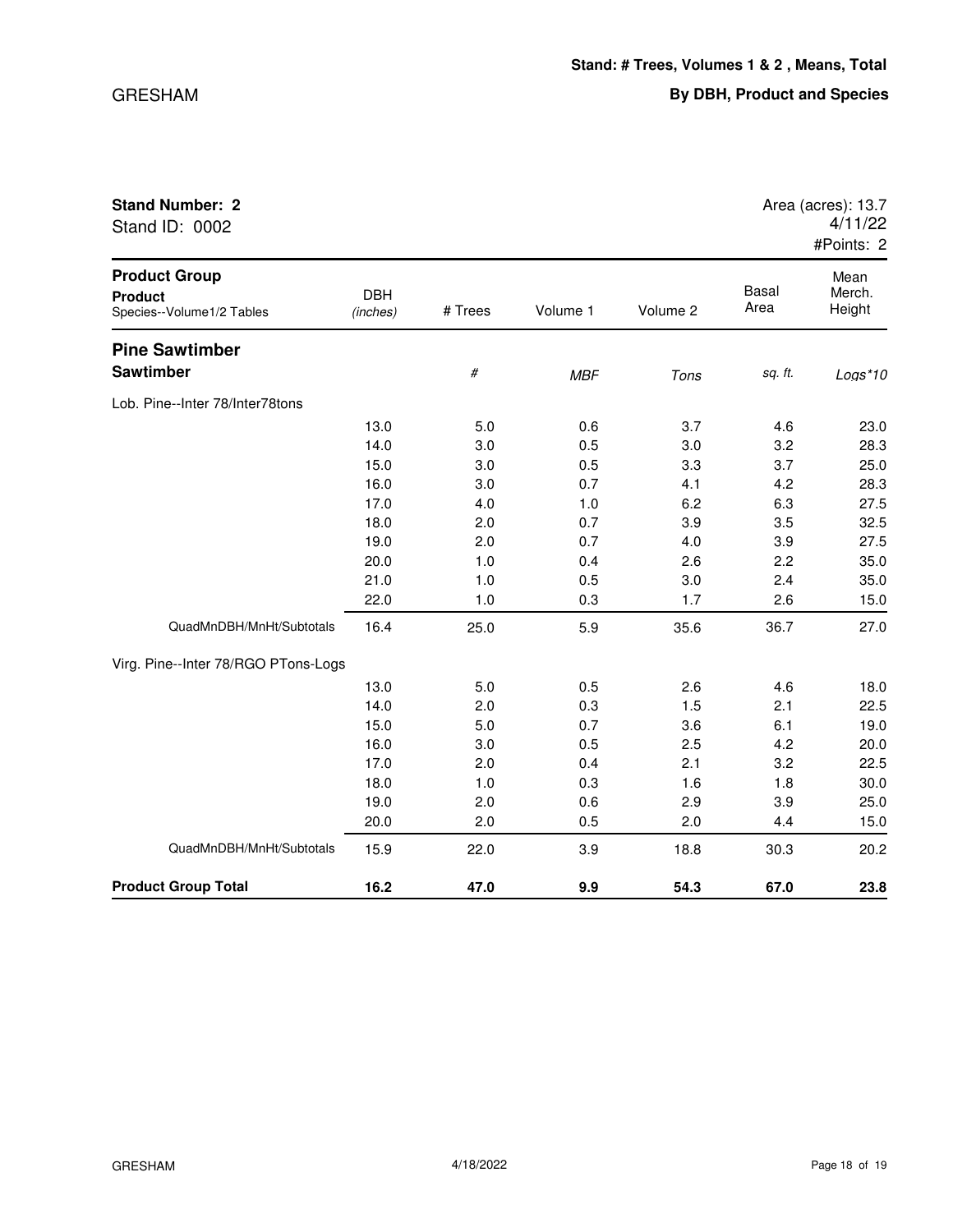| Stand ID: 0002                                                      |                        |         |            |          |                      | 4/11/22<br>#Points: 2    |
|---------------------------------------------------------------------|------------------------|---------|------------|----------|----------------------|--------------------------|
| <b>Product Group</b><br><b>Product</b><br>Species--Volume1/2 Tables | <b>DBH</b><br>(inches) | # Trees | Volume 1   | Volume 2 | <b>Basal</b><br>Area | Mean<br>Merch.<br>Height |
| <b>Pine Sawtimber</b>                                               |                        |         |            |          |                      |                          |
| <b>Sawtimber</b>                                                    |                        | #       | <b>MBF</b> | Tons     | sq. ft.              | Logs*10                  |
| Lob. Pine--Inter 78/Inter78tons                                     |                        |         |            |          |                      |                          |
|                                                                     | 13.0                   | 5.0     | 0.6        | 3.7      | 4.6                  | 23.0                     |
|                                                                     | 14.0                   | 3.0     | 0.5        | 3.0      | 3.2                  | 28.3                     |
|                                                                     | 15.0                   | 3.0     | 0.5        | 3.3      | 3.7                  | 25.0                     |
|                                                                     | 16.0                   | 3.0     | 0.7        | 4.1      | 4.2                  | 28.3                     |
|                                                                     | 17.0                   | 4.0     | 1.0        | 6.2      | 6.3                  | 27.5                     |
|                                                                     | 18.0                   | 2.0     | 0.7        | 3.9      | 3.5                  | 32.5                     |
|                                                                     | 19.0                   | 2.0     | 0.7        | 4.0      | 3.9                  | 27.5                     |
|                                                                     | 20.0                   | 1.0     | 0.4        | 2.6      | 2.2                  | 35.0                     |
|                                                                     | 21.0                   | 1.0     | 0.5        | 3.0      | 2.4                  | 35.0                     |
|                                                                     | 22.0                   | 1.0     | 0.3        | 1.7      | 2.6                  | 15.0                     |
| QuadMnDBH/MnHt/Subtotals                                            | 16.4                   | 25.0    | 5.9        | 35.6     | 36.7                 | 27.0                     |
| Virg. Pine--Inter 78/RGO PTons-Logs                                 |                        |         |            |          |                      |                          |
|                                                                     | 13.0                   | 5.0     | 0.5        | 2.6      | 4.6                  | 18.0                     |
|                                                                     | 14.0                   | 2.0     | 0.3        | 1.5      | 2.1                  | 22.5                     |
|                                                                     | 15.0                   | 5.0     | 0.7        | 3.6      | 6.1                  | 19.0                     |
|                                                                     | 16.0                   | 3.0     | 0.5        | 2.5      | 4.2                  | 20.0                     |
|                                                                     | 17.0                   | 2.0     | 0.4        | 2.1      | 3.2                  | 22.5                     |
|                                                                     | 18.0                   | 1.0     | 0.3        | 1.6      | 1.8                  | 30.0                     |
|                                                                     | 19.0                   | 2.0     | 0.6        | 2.9      | 3.9                  | 25.0                     |

QuadMnDBH/MnHt/Subtotals 15.9 22.0 3.9 18.8 30.3 20.2

**Product Group Total 16.2 47.0 9.9 54.3 67.0 23.8**

20.0 2.0 0.5 2.0 4.4 15.0

**Stand Number: 2** Area (acres): 13.7